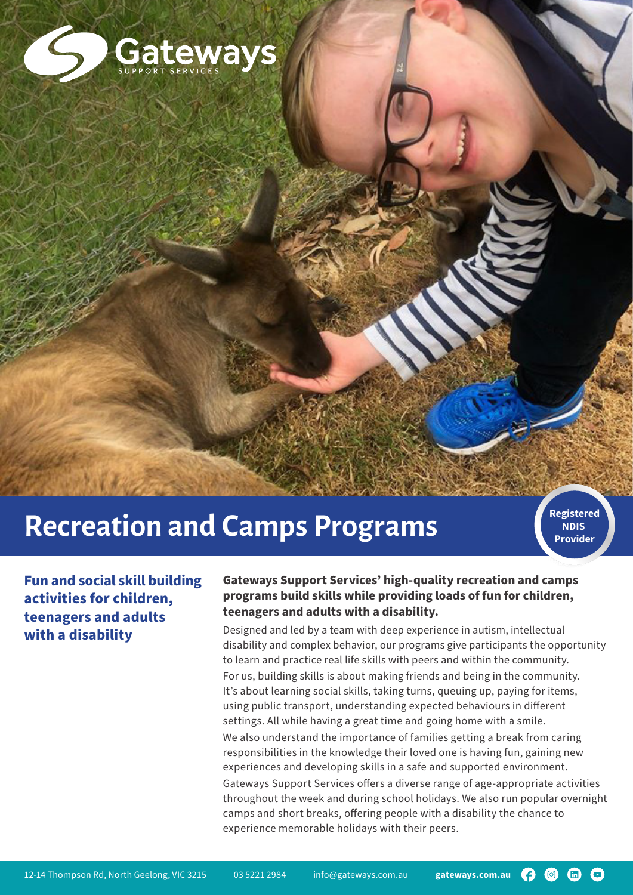

# **Recreation and Camps Programs**

**NDIS Provider**

**Fun and social skill building activities for children, teenagers and adults with a disability**

#### **Gateways Support Services' high-quality recreation and camps programs build skills while providing loads of fun for children, teenagers and adults with a disability.**

Designed and led by a team with deep experience in autism, intellectual disability and complex behavior, our programs give participants the opportunity to learn and practice real life skills with peers and within the community. For us, building skills is about making friends and being in the community. It's about learning social skills, taking turns, queuing up, paying for items, using public transport, understanding expected behaviours in different settings. All while having a great time and going home with a smile. We also understand the importance of families getting a break from caring responsibilities in the knowledge their loved one is having fun, gaining new experiences and developing skills in a safe and supported environment. Gateways Support Services offers a diverse range of age-appropriate activities throughout the week and during school holidays. We also run popular overnight camps and short breaks, offering people with a disability the chance to experience memorable holidays with their peers.